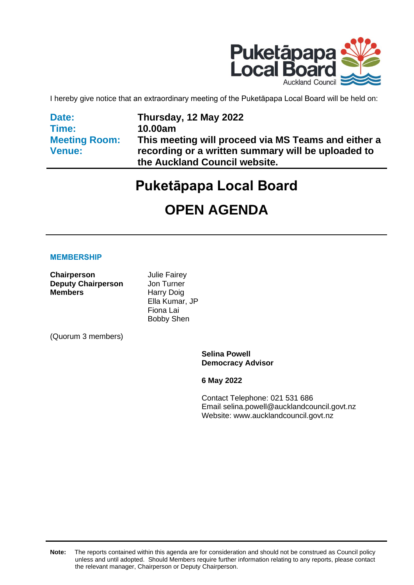

I hereby give notice that an extraordinary meeting of the Puketāpapa Local Board will be held on:

**Date: Time: Meeting Room: Venue:**

**Thursday, 12 May 2022 10.00am This meeting will proceed via MS Teams and either a recording or a written summary will be uploaded to the Auckland Council website.**

# **Puketāpapa Local Board**

# **OPEN AGENDA**

#### **MEMBERSHIP**

**Chairperson Julie Fairey Deputy Chairperson** Jon Turner **Members** Harry Doig

Ella Kumar, JP Fiona Lai Bobby Shen

(Quorum 3 members)

**Selina Powell Democracy Advisor**

**6 May 2022**

Contact Telephone: 021 531 686 Email: selina.powell@aucklandcouncil.govt.nz Website: www.aucklandcouncil.govt.nz

**Note:** The reports contained within this agenda are for consideration and should not be construed as Council policy unless and until adopted. Should Members require further information relating to any reports, please contact the relevant manager, Chairperson or Deputy Chairperson.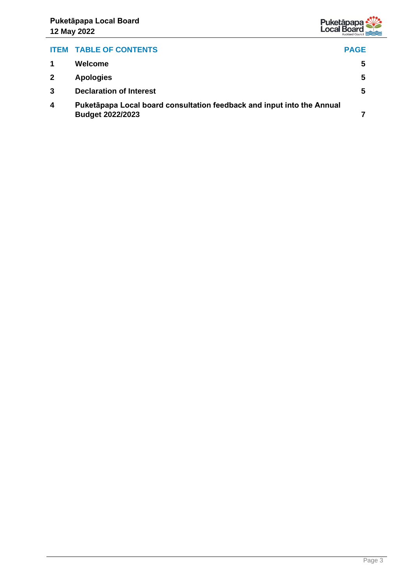

## **ITEM TABLE OF CONTENTS PAGE 1 Welcome [5](#page-4-0) 2 Apologies [5](#page-4-1) 3 Declaration of Interest [5](#page-4-2) 4 Puketāpapa Local board consultation feedback and input into the Annual Budget 2022/2023 [7](#page-6-0)**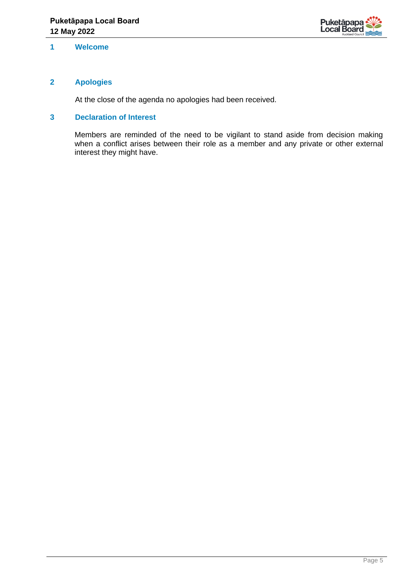

### <span id="page-4-0"></span>**1 Welcome**

## <span id="page-4-1"></span>**2 Apologies**

At the close of the agenda no apologies had been received.

## <span id="page-4-2"></span>**3 Declaration of Interest**

Members are reminded of the need to be vigilant to stand aside from decision making when a conflict arises between their role as a member and any private or other external interest they might have.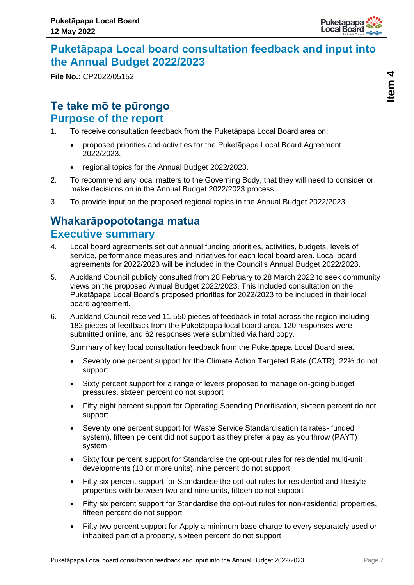

## <span id="page-6-0"></span>**Puketāpapa Local board consultation feedback and input into the Annual Budget 2022/2023**

**File No.:** CP2022/05152

## **Te take mō te pūrongo Purpose of the report**

- 1. To receive consultation feedback from the Puketāpapa Local Board area on:
	- proposed priorities and activities for the Puketāpapa Local Board Agreement 2022/2023.
	- regional topics for the Annual Budget 2022/2023.
- 2. To recommend any local matters to the Governing Body, that they will need to consider or make decisions on in the Annual Budget 2022/2023 process.
- 3. To provide input on the proposed regional topics in the Annual Budget 2022/2023.

## **Whakarāpopototanga matua Executive summary**

- 4. Local board agreements set out annual funding priorities, activities, budgets, levels of service, performance measures and initiatives for each local board area. Local board agreements for 2022/2023 will be included in the Council's Annual Budget 2022/2023.
- 5. Auckland Council publicly consulted from 28 February to 28 March 2022 to seek community views on the proposed Annual Budget 2022/2023. This included consultation on the Puketāpapa Local Board's proposed priorities for 2022/2023 to be included in their local board agreement.
- 6. Auckland Council received 11,550 pieces of feedback in total across the region including 182 pieces of feedback from the Puketāpapa local board area. 120 responses were submitted online, and 62 responses were submitted via hard copy.

Summary of key local consultation feedback from the Puketāpapa Local Board area.

- Seventy one percent support for the Climate Action Targeted Rate (CATR), 22% do not support
- Sixty percent support for a range of levers proposed to manage on-going budget pressures, sixteen percent do not support
- Fifty eight percent support for Operating Spending Prioritisation, sixteen percent do not support
- Seventy one percent support for Waste Service Standardisation (a rates- funded system), fifteen percent did not support as they prefer a pay as you throw (PAYT) system
- Sixty four percent support for Standardise the opt-out rules for residential multi-unit developments (10 or more units), nine percent do not support
- Fifty six percent support for Standardise the opt-out rules for residential and lifestyle properties with between two and nine units, fifteen do not support
- Fifty six percent support for Standardise the opt-out rules for non-residential properties, fifteen percent do not support
- Fifty two percent support for Apply a minimum base charge to every separately used or inhabited part of a property, sixteen percent do not support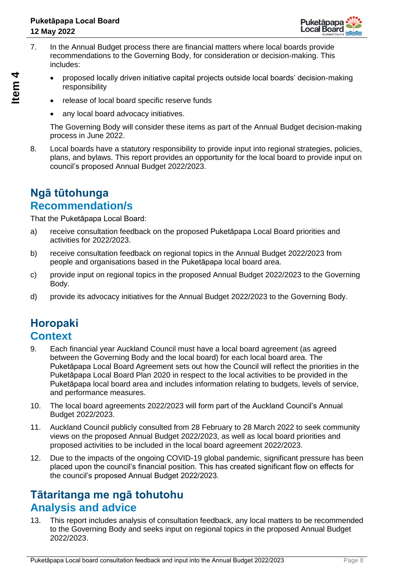

- 7. In the Annual Budget process there are financial matters where local boards provide recommendations to the Governing Body, for consideration or decision-making. This includes:
	- proposed locally driven initiative capital projects outside local boards' decision-making responsibility
	- release of local board specific reserve funds
	- any local board advocacy initiatives.

The Governing Body will consider these items as part of the Annual Budget decision-making process in June 2022.

8. Local boards have a statutory responsibility to provide input into regional strategies, policies, plans, and bylaws. This report provides an opportunity for the local board to provide input on council's proposed Annual Budget 2022/2023.

## **Ngā tūtohunga Recommendation/s**

That the Puketāpapa Local Board:

- a) receive consultation feedback on the proposed Puketāpapa Local Board priorities and activities for 2022/2023.
- b) receive consultation feedback on regional topics in the Annual Budget 2022/2023 from people and organisations based in the Puketāpapa local board area.
- c) provide input on regional topics in the proposed Annual Budget 2022/2023 to the Governing Body.
- d) provide its advocacy initiatives for the Annual Budget 2022/2023 to the Governing Body.

## **Horopaki Context**

- 9. Each financial year Auckland Council must have a local board agreement (as agreed between the Governing Body and the local board) for each local board area. The Puketāpapa Local Board Agreement sets out how the Council will reflect the priorities in the Puketāpapa Local Board Plan 2020 in respect to the local activities to be provided in the Puketāpapa local board area and includes information relating to budgets, levels of service, and performance measures.
- 10. The local board agreements 2022/2023 will form part of the Auckland Council's Annual Budget 2022/2023.
- 11. Auckland Council publicly consulted from 28 February to 28 March 2022 to seek community views on the proposed Annual Budget 2022/2023, as well as local board priorities and proposed activities to be included in the local board agreement 2022/2023.
- 12. Due to the impacts of the ongoing COVID-19 global pandemic, significant pressure has been placed upon the council's financial position. This has created significant flow on effects for the council's proposed Annual Budget 2022/2023.

## **Tātaritanga me ngā tohutohu Analysis and advice**

13. This report includes analysis of consultation feedback, any local matters to be recommended to the Governing Body and seeks input on regional topics in the proposed Annual Budget 2022/2023.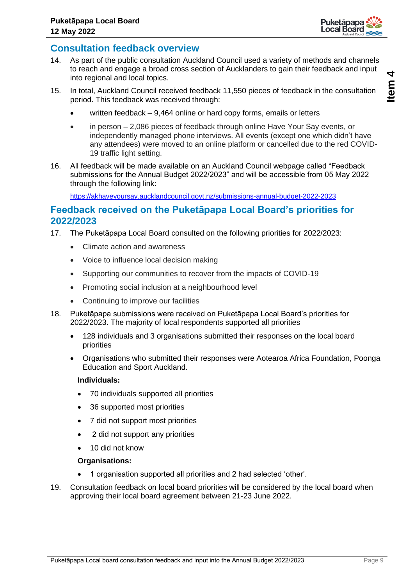

## **Consultation feedback overview**

- 14. As part of the public consultation Auckland Council used a variety of methods and channels to reach and engage a broad cross section of Aucklanders to gain their feedback and input into regional and local topics.
- 15. In total, Auckland Council received feedback 11,550 pieces of feedback in the consultation period. This feedback was received through:
	- written feedback 9,464 online or hard copy forms, emails or letters
	- in person 2,086 pieces of feedback through online Have Your Say events, or independently managed phone interviews. All events (except one which didn't have any attendees) were moved to an online platform or cancelled due to the red COVID-19 traffic light setting.
- 16. All feedback will be made available on an Auckland Council webpage called "Feedback submissions for the Annual Budget 2022/2023" and will be accessible from 05 May 2022 through the following link:

<https://akhaveyoursay.aucklandcouncil.govt.nz/submissions-annual-budget-2022-2023>

## **Feedback received on the Puketāpapa Local Board's priorities for 2022/2023**

- 17. The Puketāpapa Local Board consulted on the following priorities for 2022/2023:
	- Climate action and awareness
	- Voice to influence local decision making
	- Supporting our communities to recover from the impacts of COVID-19
	- Promoting social inclusion at a neighbourhood level
	- Continuing to improve our facilities
- 18. Puketāpapa submissions were received on Puketāpapa Local Board's priorities for 2022/2023. The majority of local respondents supported all priorities
	- 128 individuals and 3 organisations submitted their responses on the local board priorities
	- Organisations who submitted their responses were Aotearoa Africa Foundation, Poonga Education and Sport Auckland.

### **Individuals:**

- 70 individuals supported all priorities
- 36 supported most priorities
- 7 did not support most priorities
- 2 did not support any priorities
- 10 did not know

### **Organisations:**

- 1 organisation supported all priorities and 2 had selected 'other'.
- 19. Consultation feedback on local board priorities will be considered by the local board when approving their local board agreement between 21-23 June 2022.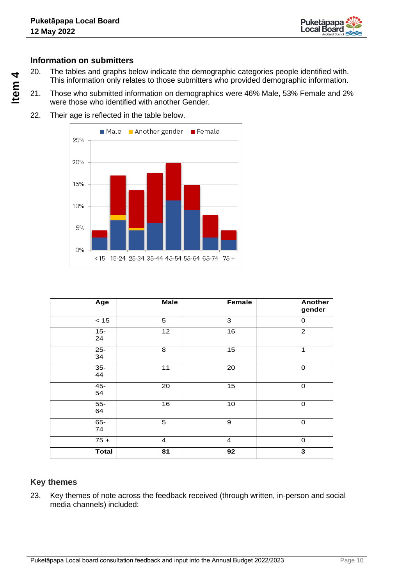

## **Information on submitters**

- 20. The tables and graphs below indicate the demographic categories people identified with. This information only relates to those submitters who provided demographic information.
- 21. Those who submitted information on demographics were 46% Male, 53% Female and 2% were those who identified with another Gender.
- 22. Their age is reflected in the table below.



| Age          | <b>Male</b>     | Female          | <b>Another</b><br>gender |
|--------------|-----------------|-----------------|--------------------------|
| $<15$        | 5               | 3               | $\Omega$                 |
| $15 -$<br>24 | 12              | 16              | $\overline{c}$           |
| $25 -$<br>34 | 8               | 15              | 1                        |
| $35-$<br>44  | $\overline{11}$ | $\overline{20}$ | $\mathbf 0$              |
| $45 -$<br>54 | $\overline{20}$ | 15              | $\mathbf 0$              |
| $55-$<br>64  | 16              | 10              | $\mathbf 0$              |
| $65-$<br>74  | 5               | 9               | $\mathbf 0$              |
| $75 +$       | $\overline{4}$  | $\overline{4}$  | $\Omega$                 |
| <b>Total</b> | $\overline{81}$ | 92              | $\overline{\mathbf{3}}$  |

## **Key themes**

23. Key themes of note across the feedback received (through written, in-person and social media channels) included: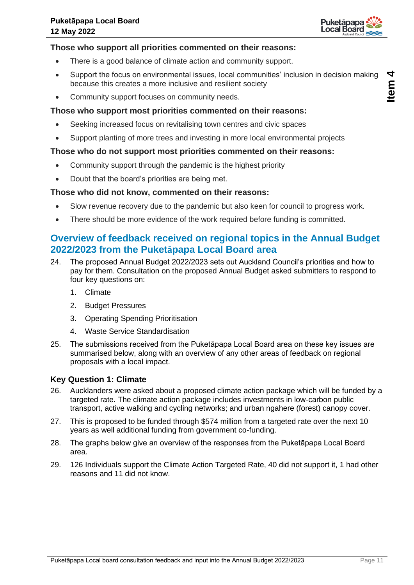

## **Those who support all priorities commented on their reasons:**

- There is a good balance of climate action and community support.
- Support the focus on environmental issues, local communities' inclusion in decision making because this creates a more inclusive and resilient society
- Community support focuses on community needs.

### **Those who support most priorities commented on their reasons:**

- Seeking increased focus on revitalising town centres and civic spaces
- Support planting of more trees and investing in more local environmental projects

### **Those who do not support most priorities commented on their reasons:**

- Community support through the pandemic is the highest priority
- Doubt that the board's priorities are being met.

### **Those who did not know, commented on their reasons:**

- Slow revenue recovery due to the pandemic but also keen for council to progress work.
- There should be more evidence of the work required before funding is committed.

## **Overview of feedback received on regional topics in the Annual Budget 2022/2023 from the Puketāpapa Local Board area**

- 24. The proposed Annual Budget 2022/2023 sets out Auckland Council's priorities and how to pay for them. Consultation on the proposed Annual Budget asked submitters to respond to four key questions on:
	- 1. Climate
	- 2. Budget Pressures
	- 3. Operating Spending Prioritisation
	- 4. Waste Service Standardisation
- 25. The submissions received from the Puketāpapa Local Board area on these key issues are summarised below, along with an overview of any other areas of feedback on regional proposals with a local impact.

### **Key Question 1: Climate**

- 26. Aucklanders were asked about a proposed climate action package which will be funded by a targeted rate. The climate action package includes investments in low-carbon public transport, active walking and cycling networks; and urban ngahere (forest) canopy cover.
- 27. This is proposed to be funded through \$574 million from a targeted rate over the next 10 years as well additional funding from government co-funding.
- 28. The graphs below give an overview of the responses from the Puketāpapa Local Board area.
- 29. 126 Individuals support the Climate Action Targeted Rate, 40 did not support it, 1 had other reasons and 11 did not know.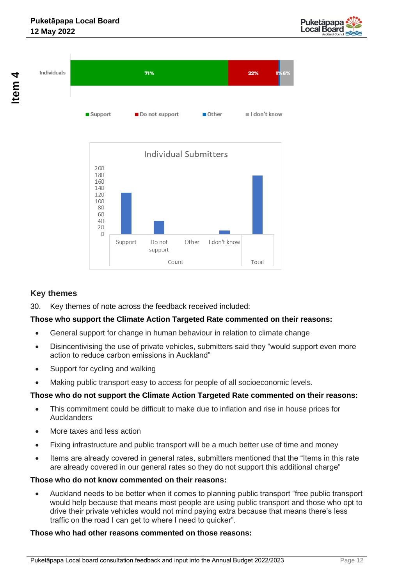





## **Key themes**

30. Key themes of note across the feedback received included:

## **Those who support the Climate Action Targeted Rate commented on their reasons:**

- General support for change in human behaviour in relation to climate change
- Disincentivising the use of private vehicles, submitters said they "would support even more action to reduce carbon emissions in Auckland"
- Support for cycling and walking
- Making public transport easy to access for people of all socioeconomic levels.

## **Those who do not support the Climate Action Targeted Rate commented on their reasons:**

- This commitment could be difficult to make due to inflation and rise in house prices for Aucklanders
- More taxes and less action
- Fixing infrastructure and public transport will be a much better use of time and money
- Items are already covered in general rates, submitters mentioned that the "Items in this rate are already covered in our general rates so they do not support this additional charge"

## **Those who do not know commented on their reasons:**

• Auckland needs to be better when it comes to planning public transport "free public transport would help because that means most people are using public transport and those who opt to drive their private vehicles would not mind paying extra because that means there's less traffic on the road I can get to where I need to quicker".

## **Those who had other reasons commented on those reasons:**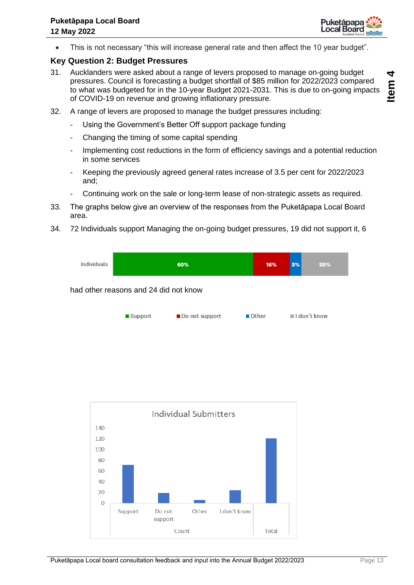

**Item** 

• This is not necessary "this will increase general rate and then affect the 10 year budget".

## **Key Question 2: Budget Pressures**

- 31. Aucklanders were asked about a range of levers proposed to manage on-going budget pressures. Council is forecasting a budget shortfall of \$85 million for 2022/2023 compared to what was budgeted for in the 10-year Budget 2021-2031. This is due to on-going impacts of COVID-19 on revenue and growing inflationary pressure.
- 32. A range of levers are proposed to manage the budget pressures including:
	- Using the Government's Better Off support package funding
	- Changing the timing of some capital spending
	- Implementing cost reductions in the form of efficiency savings and a potential reduction in some services
	- Keeping the previously agreed general rates increase of 3.5 per cent for 2022/2023 and;
		- Continuing work on the sale or long-term lease of non-strategic assets as required.
- 33. The graphs below give an overview of the responses from the Puketāpapa Local Board area.
- 34. 72 Individuals support Managing the on-going budget pressures, 19 did not support it, 6

Individuals 60% 16% 5% 20% had other reasons and 24 did not know

| $\blacksquare$ Support | ■ Do not support | $\blacksquare$ Other | $\blacksquare$ I don't know |
|------------------------|------------------|----------------------|-----------------------------|
|------------------------|------------------|----------------------|-----------------------------|

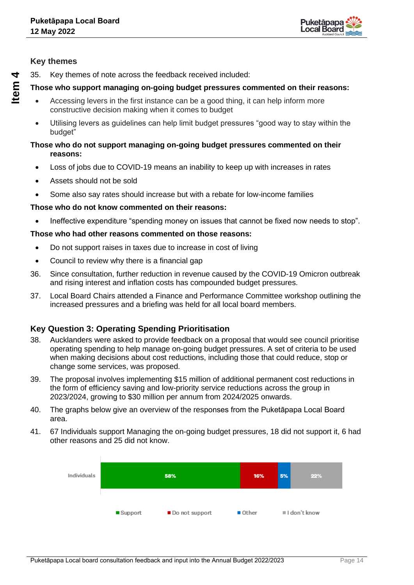

## **Key themes**

35. Key themes of note across the feedback received included:

## **Those who support managing on-going budget pressures commented on their reasons:**

- Accessing levers in the first instance can be a good thing, it can help inform more constructive decision making when it comes to budget
- Utilising levers as guidelines can help limit budget pressures "good way to stay within the budget"

#### **Those who do not support managing on-going budget pressures commented on their reasons:**

- Loss of jobs due to COVID-19 means an inability to keep up with increases in rates
- Assets should not be sold
- Some also say rates should increase but with a rebate for low-income families

## **Those who do not know commented on their reasons:**

• Ineffective expenditure "spending money on issues that cannot be fixed now needs to stop".

## **Those who had other reasons commented on those reasons:**

- Do not support raises in taxes due to increase in cost of living
- Council to review why there is a financial gap
- 36. Since consultation, further reduction in revenue caused by the COVID-19 Omicron outbreak and rising interest and inflation costs has compounded budget pressures.
- 37. Local Board Chairs attended a Finance and Performance Committee workshop outlining the increased pressures and a briefing was held for all local board members.

## **Key Question 3: Operating Spending Prioritisation**

- 38. Aucklanders were asked to provide feedback on a proposal that would see council prioritise operating spending to help manage on-going budget pressures. A set of criteria to be used when making decisions about cost reductions, including those that could reduce, stop or change some services, was proposed.
- 39. The proposal involves implementing \$15 million of additional permanent cost reductions in the form of efficiency saving and low-priority service reductions across the group in 2023/2024, growing to \$30 million per annum from 2024/2025 onwards.
- 40. The graphs below give an overview of the responses from the Puketāpapa Local Board area.
- 41. 67 Individuals support Managing the on-going budget pressures, 18 did not support it, 6 had other reasons and 25 did not know.

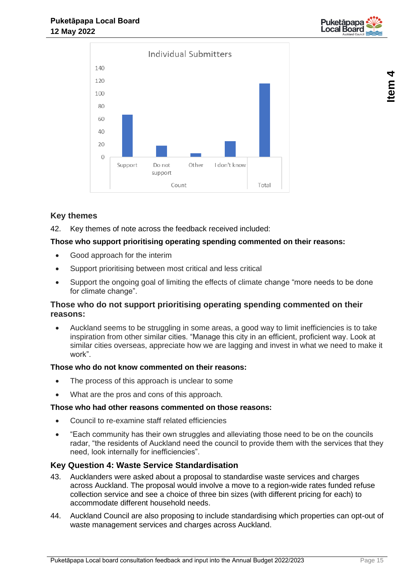



## **Key themes**

42. Key themes of note across the feedback received included:

### **Those who support prioritising operating spending commented on their reasons:**

- Good approach for the interim
- Support prioritising between most critical and less critical
- Support the ongoing goal of limiting the effects of climate change "more needs to be done for climate change".

## **Those who do not support prioritising operating spending commented on their reasons:**

• Auckland seems to be struggling in some areas, a good way to limit inefficiencies is to take inspiration from other similar cities. "Manage this city in an efficient, proficient way. Look at similar cities overseas, appreciate how we are lagging and invest in what we need to make it work".

### **Those who do not know commented on their reasons:**

- The process of this approach is unclear to some
- What are the pros and cons of this approach.

#### **Those who had other reasons commented on those reasons:**

- Council to re-examine staff related efficiencies
- "Each community has their own struggles and alleviating those need to be on the councils radar, "the residents of Auckland need the council to provide them with the services that they need, look internally for inefficiencies".

### **Key Question 4: Waste Service Standardisation**

- 43. Aucklanders were asked about a proposal to standardise waste services and charges across Auckland. The proposal would involve a move to a region-wide rates funded refuse collection service and see a choice of three bin sizes (with different pricing for each) to accommodate different household needs.
- 44. Auckland Council are also proposing to include standardising which properties can opt-out of waste management services and charges across Auckland.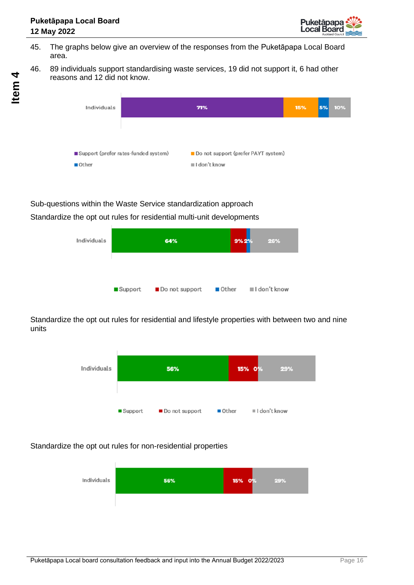

- 45. The graphs below give an overview of the responses from the Puketāpapa Local Board area.
- 46. 89 individuals support standardising waste services, 19 did not support it, 6 had other reasons and 12 did not know.



## Sub-questions within the Waste Service standardization approach

Standardize the opt out rules for residential multi-unit developments



Standardize the opt out rules for residential and lifestyle properties with between two and nine units



## Standardize the opt out rules for non-residential properties

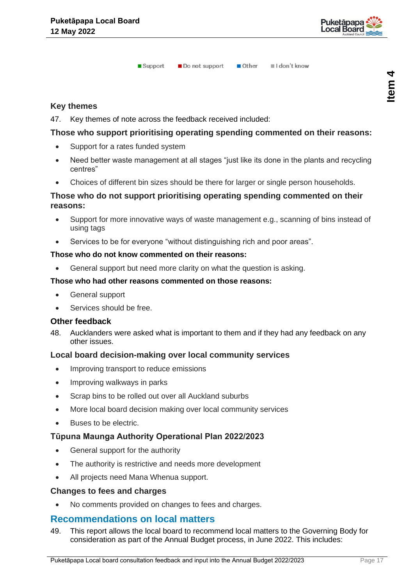

Other II I don't know  $\blacksquare$  Support Do not support

## **Key themes**

47. Key themes of note across the feedback received included:

## **Those who support prioritising operating spending commented on their reasons:**

- Support for a rates funded system
- Need better waste management at all stages "just like its done in the plants and recycling centres"
- Choices of different bin sizes should be there for larger or single person households.

## **Those who do not support prioritising operating spending commented on their reasons:**

- Support for more innovative ways of waste management e.g., scanning of bins instead of using tags
- Services to be for everyone "without distinguishing rich and poor areas".

#### **Those who do not know commented on their reasons:**

• General support but need more clarity on what the question is asking.

#### **Those who had other reasons commented on those reasons:**

- General support
- Services should be free.

### **Other feedback**

48. Aucklanders were asked what is important to them and if they had any feedback on any other issues.

### **Local board decision-making over local community services**

- Improving transport to reduce emissions
- Improving walkways in parks
- Scrap bins to be rolled out over all Auckland suburbs
- More local board decision making over local community services
- Buses to be electric.

## **Tūpuna Maunga Authority Operational Plan 2022/2023**

- General support for the authority
- The authority is restrictive and needs more development
- All projects need Mana Whenua support.

### **Changes to fees and charges**

• No comments provided on changes to fees and charges.

## **Recommendations on local matters**

49. This report allows the local board to recommend local matters to the Governing Body for consideration as part of the Annual Budget process, in June 2022. This includes: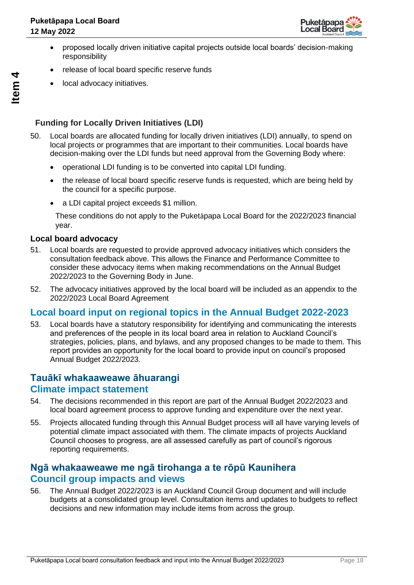

- proposed locally driven initiative capital projects outside local boards' decision-making responsibility
- release of local board specific reserve funds
- local advocacy initiatives.

## **Funding for Locally Driven Initiatives (LDI)**

- 50. Local boards are allocated funding for locally driven initiatives (LDI) annually, to spend on local projects or programmes that are important to their communities. Local boards have decision-making over the LDI funds but need approval from the Governing Body where:
	- operational LDI funding is to be converted into capital LDI funding.
	- the release of local board specific reserve funds is requested, which are being held by the council for a specific purpose.
	- a LDI capital project exceeds \$1 million.

These conditions do not apply to the Puketāpapa Local Board for the 2022/2023 financial year.

#### **Local board advocacy**

- 51. Local boards are requested to provide approved advocacy initiatives which considers the consultation feedback above. This allows the Finance and Performance Committee to consider these advocacy items when making recommendations on the Annual Budget 2022/2023 to the Governing Body in June.
- 52. The advocacy initiatives approved by the local board will be included as an appendix to the 2022/2023 Local Board Agreement

## **Local board input on regional topics in the Annual Budget 2022-2023**

53. Local boards have a statutory responsibility for identifying and communicating the interests and preferences of the people in its local board area in relation to Auckland Council's strategies, policies, plans, and bylaws, and any proposed changes to be made to them. This report provides an opportunity for the local board to provide input on council's proposed Annual Budget 2022/2023.

## **Tauākī whakaaweawe āhuarangi Climate impact statement**

- 54. The decisions recommended in this report are part of the Annual Budget 2022/2023 and local board agreement process to approve funding and expenditure over the next year.
- 55. Projects allocated funding through this Annual Budget process will all have varying levels of potential climate impact associated with them. The climate impacts of projects Auckland Council chooses to progress, are all assessed carefully as part of council's rigorous reporting requirements.

## **Ngā whakaaweawe me ngā tirohanga a te rōpū Kaunihera Council group impacts and views**

56. The Annual Budget 2022/2023 is an Auckland Council Group document and will include budgets at a consolidated group level. Consultation items and updates to budgets to reflect decisions and new information may include items from across the group.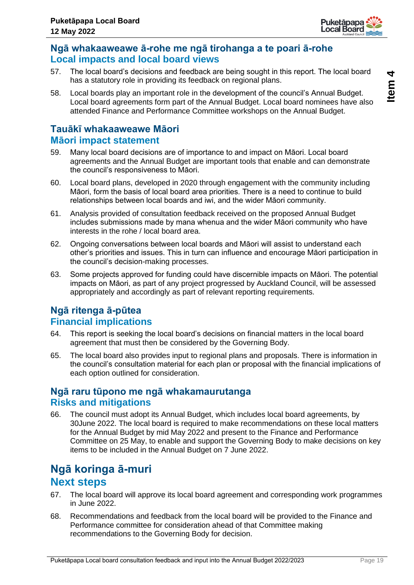

## **Ngā whakaaweawe ā-rohe me ngā tirohanga a te poari ā-rohe Local impacts and local board views**

- 57. The local board's decisions and feedback are being sought in this report. The local board has a statutory role in providing its feedback on regional plans.
- 58. Local boards play an important role in the development of the council's Annual Budget. Local board agreements form part of the Annual Budget. Local board nominees have also attended Finance and Performance Committee workshops on the Annual Budget.

## **Tauākī whakaaweawe Māori Māori impact statement**

- 59. Many local board decisions are of importance to and impact on Māori. Local board agreements and the Annual Budget are important tools that enable and can demonstrate the council's responsiveness to Māori.
- 60. Local board plans, developed in 2020 through engagement with the community including Māori, form the basis of local board area priorities. There is a need to continue to build relationships between local boards and iwi, and the wider Māori community.
- 61. Analysis provided of consultation feedback received on the proposed Annual Budget includes submissions made by mana whenua and the wider Māori community who have interests in the rohe / local board area.
- 62. Ongoing conversations between local boards and Māori will assist to understand each other's priorities and issues. This in turn can influence and encourage Māori participation in the council's decision-making processes.
- 63. Some projects approved for funding could have discernible impacts on Māori. The potential impacts on Māori, as part of any project progressed by Auckland Council, will be assessed appropriately and accordingly as part of relevant reporting requirements.

## **Ngā ritenga ā-pūtea Financial implications**

- 64. This report is seeking the local board's decisions on financial matters in the local board agreement that must then be considered by the Governing Body.
- 65. The local board also provides input to regional plans and proposals. There is information in the council's consultation material for each plan or proposal with the financial implications of each option outlined for consideration.

## **Ngā raru tūpono me ngā whakamaurutanga Risks and mitigations**

66. The council must adopt its Annual Budget, which includes local board agreements, by 30June 2022. The local board is required to make recommendations on these local matters for the Annual Budget by mid May 2022 and present to the Finance and Performance Committee on 25 May, to enable and support the Governing Body to make decisions on key items to be included in the Annual Budget on 7 June 2022.

## **Ngā koringa ā-muri Next steps**

- 67. The local board will approve its local board agreement and corresponding work programmes in June 2022.
- 68. Recommendations and feedback from the local board will be provided to the Finance and Performance committee for consideration ahead of that Committee making recommendations to the Governing Body for decision.